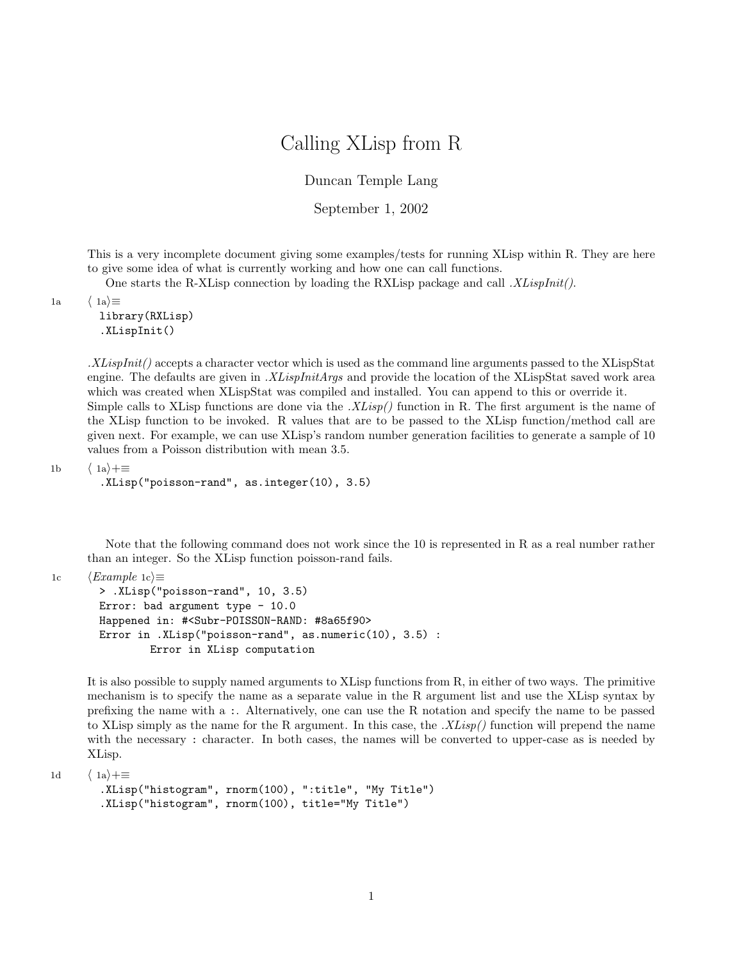## Calling XLisp from R

Duncan Temple Lang

September 1, 2002

This is a very incomplete document giving some examples/tests for running XLisp within R. They are here to give some idea of what is currently working and how one can call functions.

One starts the R-XLisp connection by loading the RXLisp package and call  $.XLispInit()$ .

1a  $\langle 1a \rangle \equiv$ 

library(RXLisp) .XLispInit()

 $. XLispInit()$  accepts a character vector which is used as the command line arguments passed to the XLispStat engine. The defaults are given in .XLispInitArgs and provide the location of the XLispStat saved work area which was created when XLispStat was compiled and installed. You can append to this or override it. Simple calls to XLisp functions are done via the  $.XLisp()$  function in R. The first argument is the name of the XLisp function to be invoked. R values that are to be passed to the XLisp function/method call are given next. For example, we can use XLisp's random number generation facilities to generate a sample of 10 values from a Poisson distribution with mean 3.5.

1b  $\langle 1a \rangle + \equiv$ 

```
.XLisp("poisson-rand", as.integer(10), 3.5)
```
Note that the following command does not work since the 10 is represented in R as a real number rather than an integer. So the XLisp function poisson-rand fails.

```
1c \langle Example 1c \rangle \equiv> .XLisp("poisson-rand", 10, 3.5)
        Error: bad argument type - 10.0
        Happened in: #<Subr-POISSON-RAND: #8a65f90>
        Error in .XLisp("poisson-rand", as.numeric(10), 3.5) :
                 Error in XLisp computation
```
It is also possible to supply named arguments to XLisp functions from R, in either of two ways. The primitive mechanism is to specify the name as a separate value in the R argument list and use the XLisp syntax by prefixing the name with a :. Alternatively, one can use the R notation and specify the name to be passed to XLisp simply as the name for the R argument. In this case, the  $.XIisp()$  function will prepend the name with the necessary : character. In both cases, the names will be converted to upper-case as is needed by XLisp.

1d  $\langle 1a \rangle + \equiv$ 

```
.XLisp("histogram", rnorm(100), ":title", "My Title")
.XLisp("histogram", rnorm(100), title="My Title")
```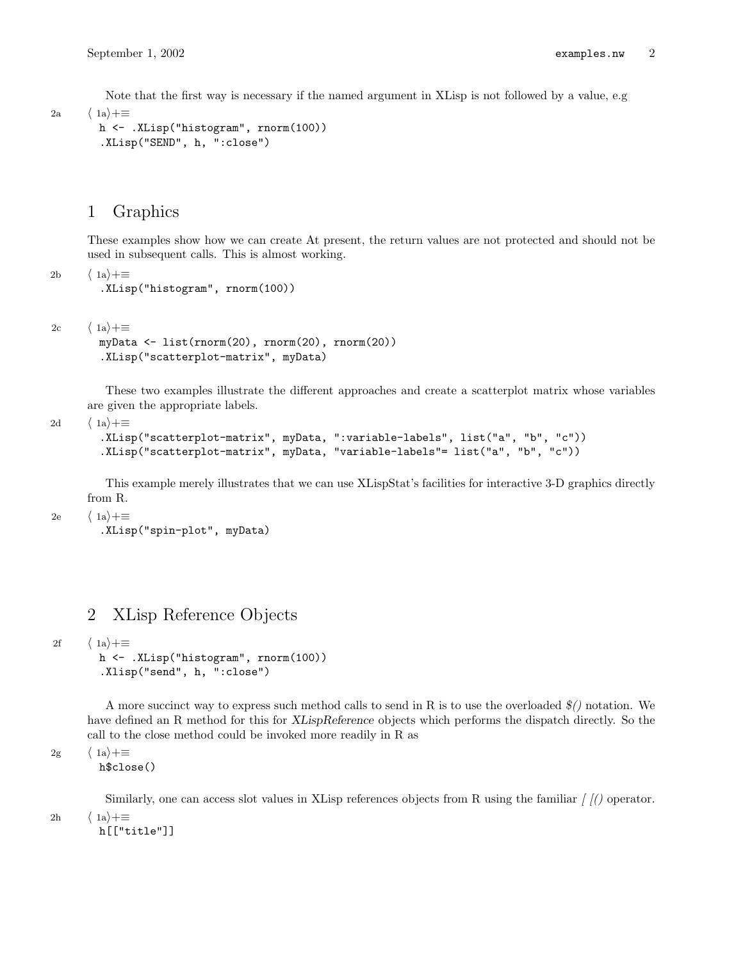Note that the first way is necessary if the named argument in XLisp is not followed by a value, e.g

2a  $\langle 1a \rangle + \equiv$ 

```
h <- .XLisp("histogram", rnorm(100))
.XLisp("SEND", h, ":close")
```
## 1 Graphics

These examples show how we can create At present, the return values are not protected and should not be used in subsequent calls. This is almost working.

2b  $\langle 1a \rangle + \equiv$ 

```
.XLisp("histogram", rnorm(100))
```

```
2c \langle 1a \rangle + \equiv
```

```
myData <- list(rnorm(20), rnorm(20), rnorm(20))
.XLisp("scatterplot-matrix", myData)
```
These two examples illustrate the different approaches and create a scatterplot matrix whose variables are given the appropriate labels.

2d  $\langle 1a \rangle + \equiv$ 

```
.XLisp("scatterplot-matrix", myData, ":variable-labels", list("a", "b", "c"))
.XLisp("scatterplot-matrix", myData, "variable-labels"= list("a", "b", "c"))
```
This example merely illustrates that we can use XLispStat's facilities for interactive 3-D graphics directly from R.

```
2e \langle 1a \rangle + \equiv
```
.XLisp("spin-plot", myData)

## 2 XLisp Reference Objects

```
2f \langle 1a \rangle + \equiv
```

```
h <- .XLisp("histogram", rnorm(100))
.Xlisp("send", h, ":close")
```
A more succinct way to express such method calls to send in R is to use the overloaded  $\mathcal{F}$  notation. We have defined an R method for this for XLispReference objects which performs the dispatch directly. So the call to the close method could be invoked more readily in R as

2g  $\langle 1a \rangle + \equiv$ 

h\$close()

Similarly, one can access slot values in XLisp references objects from R using the familiar  $\frac{f}{f}$  operator.

2h  $\langle 1a \rangle + \equiv$ 

h[["title"]]